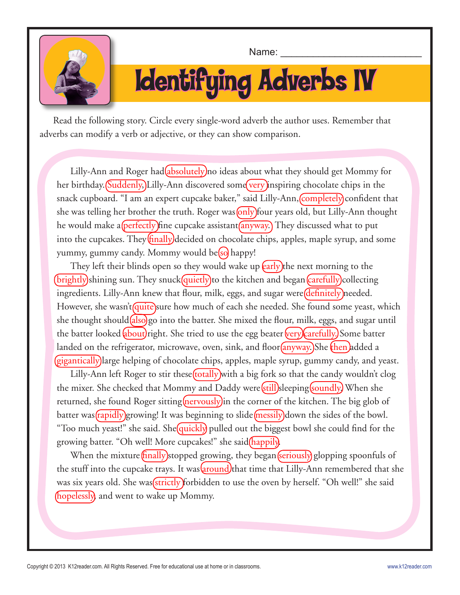

Name:

# Identifying Adverbs IV

Read the following story. Circle every single-word adverb the author uses. Remember that adverbs can modify a verb or adjective, or they can show comparison.

Lilly-Ann and Roger had(absolutely) no ideas about what they should get Mommy for her birthday. (Suddenly, Lilly-Ann discovered some very inspiring chocolate chips in the snack cupboard. "I am an expert cupcake baker," said Lilly-Ann, completely confident that she was telling her brother the truth. Roger was only four years old, but Lilly-Ann thought he would make a(perfectly) fine cupcake assistant (anyway.) They discussed what to put into the cupcakes. They  $\frac{\text{fInally}}{\text{decided}}$  on chocolate chips, apples, maple syrup, and some yummy, gummy candy. Mommy would be(so) happy!

They left their blinds open so they would wake up **(early)** the next morning to the (brightly)shining sun. They snuck(quietly)to the kitchen and began (carefully)collecting ingredients. Lilly-Ann knew that flour, milk, eggs, and sugar were *definitely* needed. However, she wasn't quite sure how much of each she needed. She found some yeast, which she thought should  $(a\text{lso})$ go into the batter. She mixed the flour, milk, eggs, and sugar until the batter looked about) right. She tried to use the egg beater very carefully. Some batter landed on the refrigerator, microwave, oven, sink, and floor (anyway.)She then added a (gigantically) large helping of chocolate chips, apples, maple syrup, gummy candy, and yeast.

Lilly-Ann left Roger to stir these (totally) with a big fork so that the candy wouldn't clog the mixer. She checked that Mommy and Daddy were *still* sleeping *soundly*) When she returned, she found Roger sitting  $\frac{\text{merously}}{\text{in}}$  the corner of the kitchen. The big glob of batter was (rapidly) growing! It was beginning to slide (messily) down the sides of the bowl. "Too much yeast!" she said. She *quickly* pulled out the biggest bowl she could find for the growing batter. "Oh well! More cupcakes!" she said(happily)

When the mixture  $\frac{f_{\text{in}}}{f_{\text{in}}}$  (stropped growing, they began  $\frac{f_{\text{in}}}{f_{\text{in}}}$  (subseting spoonfuls of the stuff into the cupcake trays. It was around) that time that Lilly-Ann remembered that she was six years old. She was *strictly* forbidden to use the oven by herself. "Oh well!" she said (hopelessly) and went to wake up Mommy.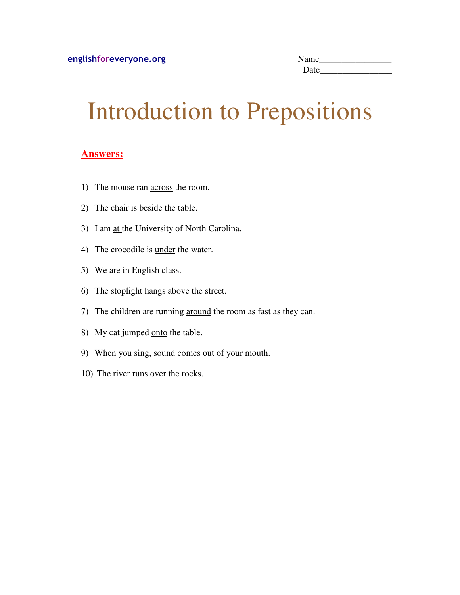| Name |  |
|------|--|
| Date |  |

## Introduction to Prepositions

#### **Answers:**

- 1) The mouse ran across the room.
- 2) The chair is beside the table.
- 3) I am at the University of North Carolina.
- 4) The crocodile is under the water.
- 5) We are  $\frac{\text{in}}{\text{English class}}$ .
- 6) The stoplight hangs above the street.
- 7) The children are running around the room as fast as they can.
- 8) My cat jumped onto the table.
- 9) When you sing, sound comes out of your mouth.
- 10) The river runs over the rocks.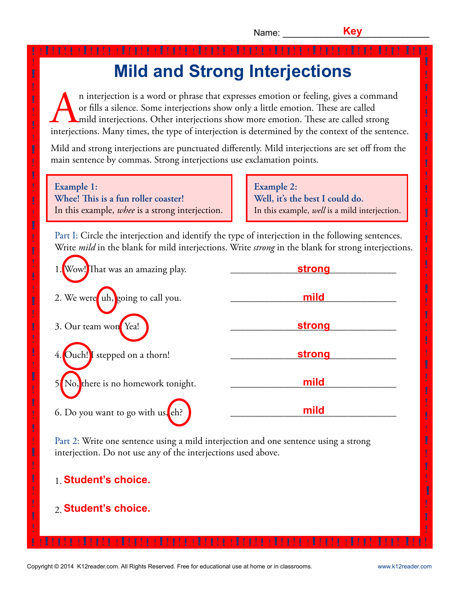! **!**

! **!** ! ! **!** ţ ! **!** ! ! **!** Ţ ! **!** ! ! **!**

> ! **!** ! !<br>! **!**

> ! **!** ! ! **!**

! ! **!**

**!**

### **Mild and Strong Interjections !** ! ! **!** ! **!** ! ! **!** ! **!** ! ! **!** ! **!** ! ! **!** ! **!** ! ! **!** ! **!** ! ! **!** ! **!** ! ! **!** ! **!** ! ! **!** ! **!** ! ! **!** ! ! **!** ! ! **!** !

n interjection is a word or phrase that expresses emotion or feeling, gives a command or fills a silence. Some interjections show only a little emotion. These are called  $\Box$ mild interjections. Other interjections show more emotion. These are called strong interjections. Many times, the type of interjection is determined by the context of the sentence.

Mild and strong interjections are punctuated differently. Mild interjections are set off from the main sentence by commas. Strong interjections use exclamation points.

**Example 1: Whee! !is is a fun roller coaster!** In this example, *whee* is a strong interjection.

! **!**

!

! **!** j ! **!**

! **!** Į ! **!**

**!**

! **!**

**!**

! **!**

! **!**

> ! **!**

!

**Example 2: Well, it's the best I could do.** In this example, *well* is a mild interjection.

Part I: Circle the interjection and identify the type of interjection in the following sentences. Write *mild* in the blank for mild interjections. Write *strong* in the blank for strong interjections.

| 1. Wow! That was an amazing play. | strong |
|-----------------------------------|--------|
| 2. We were uh, going to call you. | mild   |
| 3. Our team won Yea!              | strong |
| Ouch!] stepped on a thorn!        | strong |
| No, there is no homework tonight. | mild   |
| 6. Do you want to go with us, eh? | mild   |

Part 2: Write one sentence using a mild interjection and one sentence using a strong interjection. Do not use any of the interjections used above.

<u> E el forte el forte el forte el forte el forte el forte el fort llert llert</u>

- 1. **Student's choice.**
- 2. **Student's choice.**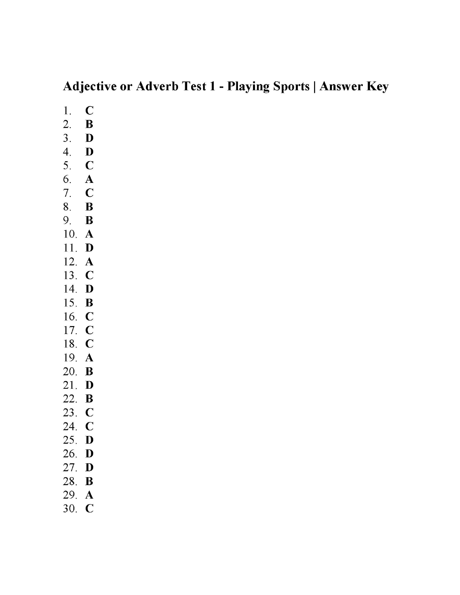### **Adjective or Adverb Test 1 - Playing Sports | Answer Key**

 $\overline{C}$ 1.  $\overline{2}$ .  $\bf{B}$  $3<sub>1</sub>$ D 4. **D** 5.  $C$ 6. A 7. C 8.  $\bf{B}$ 9. B 10. A 11. **D** 12.  $\mathbf{A}$ 13.  $\mathbf{C}$ 14. **D** 15. **B** 16. C 17. C 18. C 19. A 20.  $\mathbf B$ 21. D 22.  $\mathbf{B}$ 23. C 24. C 25. D 26. D 27. D 28. **B** 29. A 30. C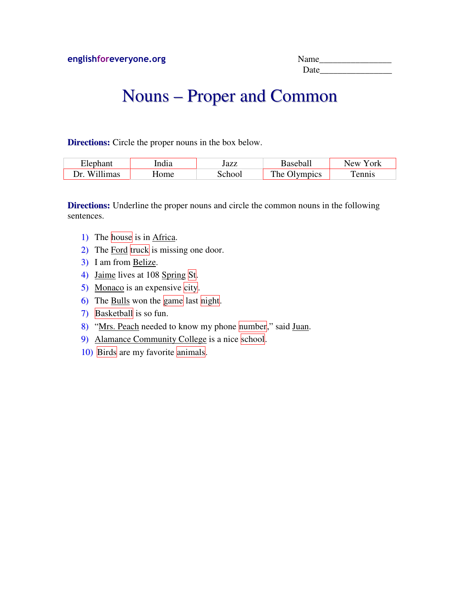## Nouns – Proper and Common

**Directions:** Circle the proper nouns in the box below.

| HAP            | . .<br>ndıa | Jazz | . Zocoboli<br>edali     | York<br>New |
|----------------|-------------|------|-------------------------|-------------|
| Willimas<br>)r | ome         | ^h.  | The<br>$\gamma$ lympics | nnis        |

**Directions:** Underline the proper nouns and circle the common nouns in the following sentences.

- 1) The house is in Africa.
- 2) The Ford  $\frac{r}{x}$  truck is missing one door.
- 3) I am from Belize.
- 4) Jaime lives at 108 Spring St.
- 5) Monaco is an expensive city.
- 6) The Bulls won the game last night.
- 7) **Basketball** is so fun.
- 8) "Mrs. Peach needed to know my phone number," said Juan.
- 9) Alamance Community College is a nice school.
- 10) Birds are my favorite animals.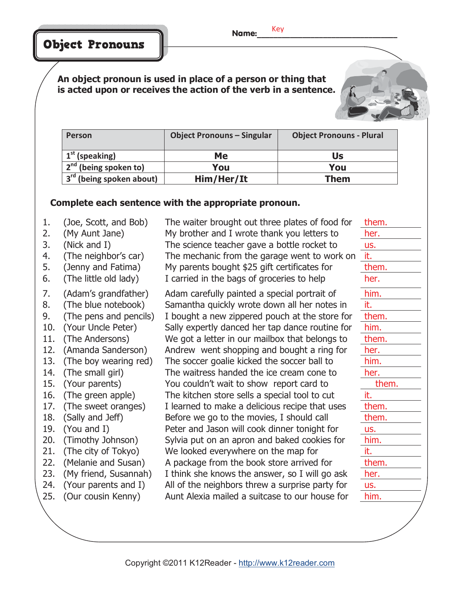Name: Key

Object Pronouns

**An object pronoun is used in place of a person or thing that is acted upon or receives the action of the verb in a sentence.**

| Person                               | <b>Object Pronouns - Singular</b> | <b>Object Pronouns - Plural</b> |
|--------------------------------------|-----------------------------------|---------------------------------|
| $1st$ (speaking)                     | Me                                | Us                              |
| $2nd$ (being spoken to)              | You                               | You                             |
| 3 <sup>rd</sup> (being spoken about) | Him/Her/It                        | Them                            |

#### **Complete each sentence with the appropriate pronoun.**

- 
- 
- 
- 
- 
- 
- 
- 
- 
- 
- 
- 
- 
- 
- 
- 
- 
- 
- 
- 
- 
- 
- 
- 
- 

1. (Joe, Scott, and Bob) The waiter brought out three plates of food for them. 2. (My Aunt Jane) My brother and I wrote thank you letters to her. 3. (Nick and I) The science teacher gave a bottle rocket to us. 4. (The neighbor's car) The mechanic from the garage went to work on it. 5. (Jenny and Fatima) My parents bought \$25 gift certificates for them. 6. (The little old lady) I carried in the bags of groceries to help her.

7. (Adam's grandfather) Adam carefully painted a special portrait of him. 8. (The blue notebook) Samantha quickly wrote down all her notes in it. 9. (The pens and pencils) I bought a new zippered pouch at the store for them. 10. (Your Uncle Peter) Sally expertly danced her tap dance routine for him. 11. (The Andersons) We got a letter in our mailbox that belongs to them. 12. (Amanda Sanderson) Andrew went shopping and bought a ring for her. 13. (The boy wearing red) The soccer goalie kicked the soccer ball to him. 14. (The small girl) The waitress handed the ice cream cone to her. 15. (Your parents) You couldn't wait to show report card to them. 16. (The green apple) The kitchen store sells a special tool to cut it. 17. (The sweet oranges) I learned to make a delicious recipe that uses them. 18. (Sally and Jeff) Before we go to the movies, I should call them. 19. (You and I) Peter and Jason will cook dinner tonight for us. 20. (Timothy Johnson) Sylvia put on an apron and baked cookies for him. 21. (The city of Tokyo) We looked everywhere on the map for it. 22. (Melanie and Susan) A package from the book store arrived for them. 23. (My friend, Susannah) I think she knows the answer, so I will go ask her. 24. (Your parents and I) All of the neighbors threw a surprise party for us. 25. (Our cousin Kenny) Aunt Alexia mailed a suitcase to our house for him.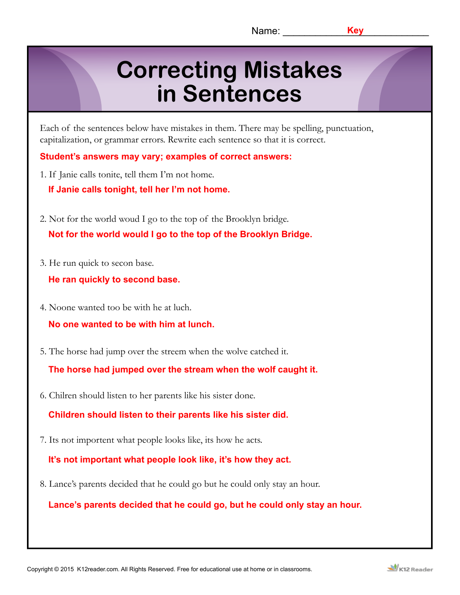## **Correcting Mistakes in Sentences**

Each of the sentences below have mistakes in them. There may be spelling, punctuation, capitalization, or grammar errors. Rewrite each sentence so that it is correct.

**Student's answers may vary; examples of correct answers:**

1. If Janie calls tonite, tell them I'm not home.

**If Janie calls tonight, tell her I'm not home.**

- 2. Not for the world woud I go to the top of the Brooklyn bridge. **Not for the world would I go to the top of the Brooklyn Bridge.**
- 3. He run quick to secon base.

**He ran quickly to second base.**

4. Noone wanted too be with he at luch.

**No one wanted to be with him at lunch.**

5. The horse had jump over the streem when the wolve catched it.

**The horse had jumped over the stream when the wolf caught it.**

6. Chilren should listen to her parents like his sister done.

**Children should listen to their parents like his sister did.**

7. Its not importent what people looks like, its how he acts.

**It's not important what people look like, it's how they act.**

8. Lance's parents decided that he could go but he could only stay an hour.

**Lance's parents decided that he could go, but he could only stay an hour.**

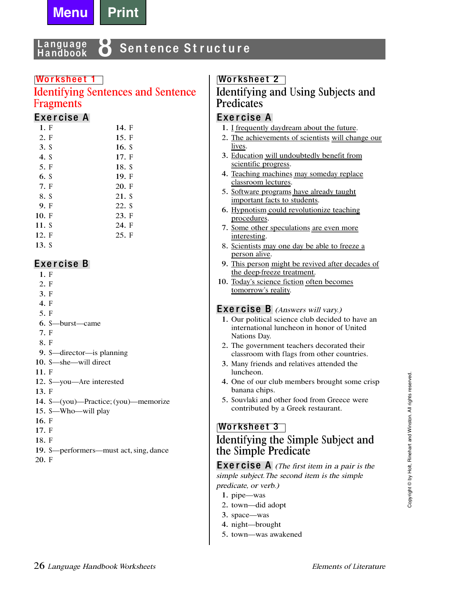

#### anguage Sentence Structure Handbook

#### Worksheet 1

#### **Identifying Sentences and Sentence Fragments**

#### Exercise A

| 1. F  | 14. F |
|-------|-------|
| 2. F  | 15. F |
| 3. S  | 16. S |
| 4. S  | 17. F |
| 5. F  | 18. S |
| 6. S  | 19. F |
| 7. F  | 20. F |
| 8. S  | 21. S |
| 9. F  | 22. S |
| 10. F | 23. F |
| 11. S | 24. F |
| 12. F | 25. F |
| 13. S |       |

#### Exercise B

- $1. F$
- $2. F$
- $3. F$
- 4. F
- 5. F
- 6. S—burst—came
- 7. F
- 8. F
- 9. S—director—is planning
- 10. S-she-will direct
- 11. F
- 12. S-you-Are interested
- $13. F$
- 14. S-(you)-Practice; (you)-memorize
- 15. S-Who-will play
- $16. F$
- 17. F
- 18. F
- 19. S—performers—must act, sing, dance
- 20. F

#### **Worksheet 2**

#### Identifying and Using Subjects and **Predicates**

#### Exercise A

- 1. I frequently daydream about the future.
- 2. The achievements of scientists will change our lives.
- 3. Education will undoubtedly benefit from scientific progress.
- 4. Teaching machines may someday replace classroom lectures.
- 5. Software programs have already taught important facts to students.
- 6. Hypnotism could revolutionize teaching procedures.
- 7. Some other speculations are even more interesting.
- 8. Scientists may one day be able to freeze a person alive.
- 9. This person might be revived after decades of the deep freeze treatment.
- 10. Today's science fiction often becomes tomorrow's reality.

#### **Exercise B** (Answers will vary.)

- 1. Our political science club decided to have an international luncheon in honor of United Nations Day.
- 2. The government teachers decorated their classroom with flags from other countries.
- 3. Many friends and relatives attended the luncheon.
- 4. One of our club members brought some crisp banana chips.
- 5. Souvlaki and other food from Greece were contributed by a Greek restaurant.

#### **Worksheet 3** Identifying the Simple Subject and the Simple Predicate

**Exercise** A (The first item in a pair is the simple subject. The second item is the simple predicate, or verb.)

- 1. pipe—was
- 2. town-did adopt
- 3. space—was
- 4. night-brought
- 5. town-was awakened